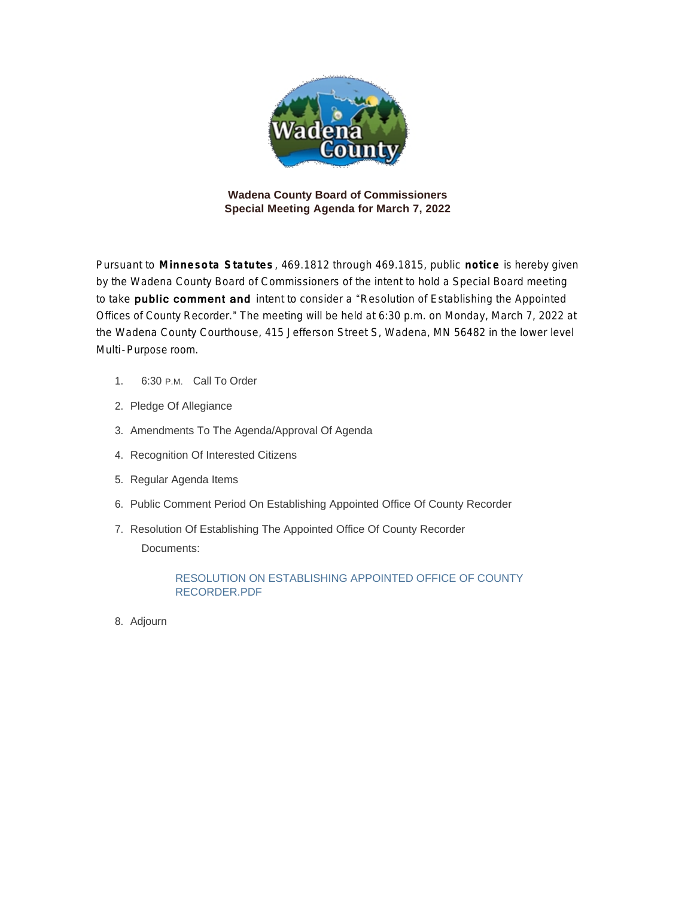

**Wadena County Board of Commissioners Special Meeting Agenda for March 7, 2022**

Pursuant to **Minnesota Statutes** , 469.1812 through 469.1815, public **notice** is hereby given by the Wadena County Board of Commissioners of the intent to hold a Special Board meeting to take **public comment and** intent to consider a "Resolution of Establishing the Appointed Offices of County Recorder." The meeting will be held at 6:30 p.m. on Monday, March 7, 2022 at the Wadena County Courthouse, 415 Jefferson Street S, Wadena, MN 56482 in the lower level Multi-Purpose room.

- 1. 6:30 P.M. Call To Order
- 2. Pledge Of Allegiance
- 3. Amendments To The Agenda/Approval Of Agenda
- 4. Recognition Of Interested Citizens
- 5. Regular Agenda Items
- 6. Public Comment Period On Establishing Appointed Office Of County Recorder
- 7. Resolution Of Establishing The Appointed Office Of County Recorder Documents:

RESOLUTION ON ESTABLISHING APPOINTED OFFICE OF COUNTY RECORDER.PDF

8. Adjourn